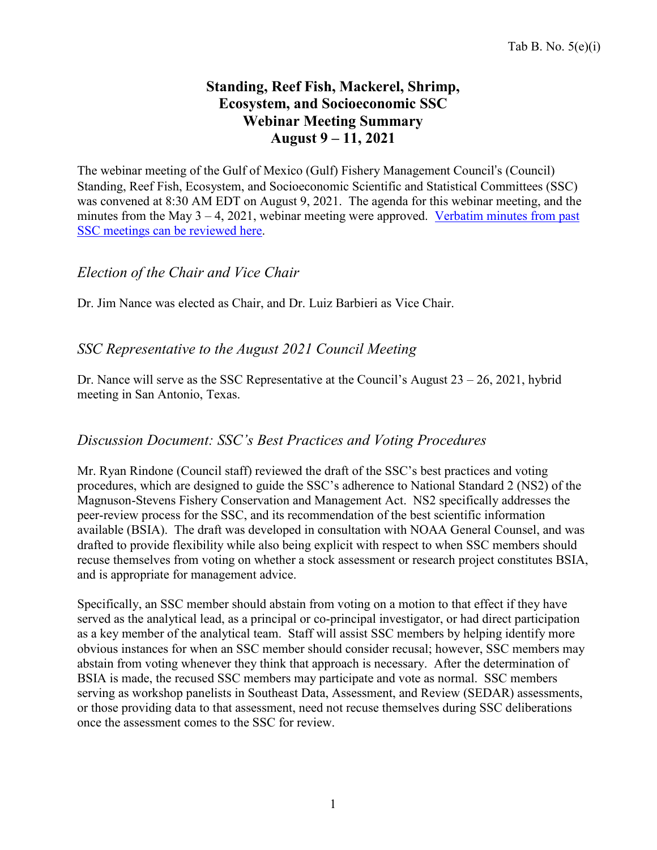# **Standing, Reef Fish, Mackerel, Shrimp, Ecosystem, and Socioeconomic SSC Webinar Meeting Summary August 9 – 11, 2021**

The webinar meeting of the Gulf of Mexico (Gulf) Fishery Management Council's (Council) Standing, Reef Fish, Ecosystem, and Socioeconomic Scientific and Statistical Committees (SSC) was convened at 8:30 AM EDT on August 9, 2021. The agenda for this webinar meeting, and the minutes from the May  $3 - 4$ , 2021, webinar meeting were approved. [Verbatim](https://gulfcouncil.org/meetings/ssc/archive/) minutes from past SSC meetings [can be reviewed](https://gulfcouncil.org/meetings/ssc/archive/) here.

### *Election of the Chair and Vice Chair*

Dr. Jim Nance was elected as Chair, and Dr. Luiz Barbieri as Vice Chair.

## *SSC Representative to the August 2021 Council Meeting*

Dr. Nance will serve as the SSC Representative at the Council's August  $23 - 26$ ,  $2021$ , hybrid meeting in San Antonio, Texas.

### *Discussion Document: SSC's Best Practices and Voting [Procedures](https://gulfcouncil.org/wp-content/uploads/VI.-Draft-Text-SSC-Voting-Best-Practices-and-Procedures-for-SOPPs_v5.pdf)*

Mr. Ryan Rindone (Council staff) reviewed the draft of the SSC's best practices and voting procedures, which are designed to guide the SSC's adherence to National Standard 2 (NS2) of the Magnuson-Stevens Fishery Conservation and Management Act. NS2 specifically addresses the peer-review process for the SSC, and its recommendation of the best scientific information available (BSIA). The draft was developed in consultation with NOAA General Counsel, and was drafted to provide flexibility while also being explicit with respect to when SSC members should recuse themselves from voting on whether a stock assessment or research project constitutes BSIA, and is appropriate for management advice.

Specifically, an SSC member should abstain from voting on a motion to that effect if they have served as the analytical lead, as a principal or co-principal investigator, or had direct participation as a key member of the analytical team. Staff will assist SSC members by helping identify more obvious instances for when an SSC member should consider recusal; however, SSC members may abstain from voting whenever they think that approach is necessary. After the determination of BSIA is made, the recused SSC members may participate and vote as normal. SSC members serving as workshop panelists in Southeast Data, Assessment, and Review (SEDAR) assessments, or those providing data to that assessment, need not recuse themselves during SSC deliberations once the assessment comes to the SSC for review.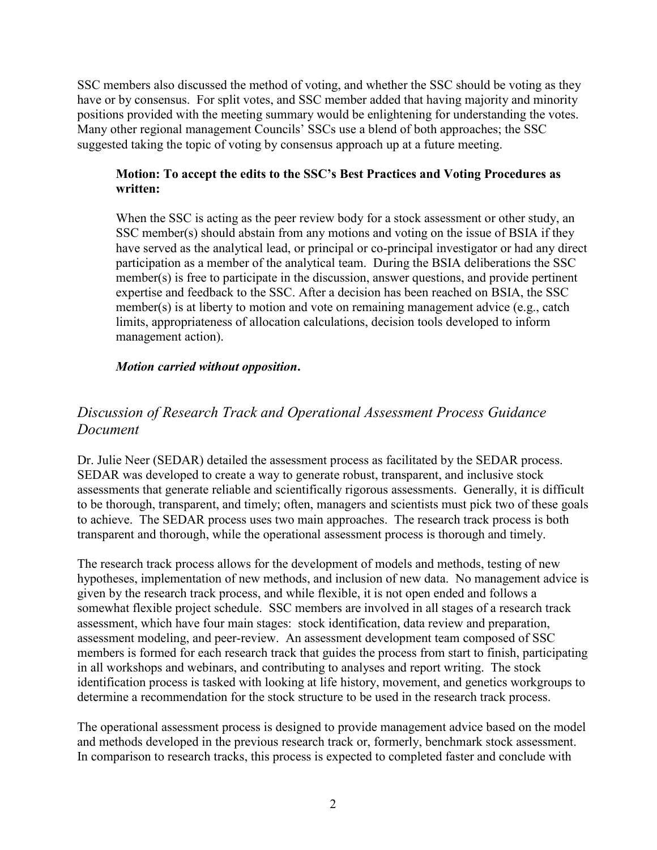SSC members also discussed the method of voting, and whether the SSC should be voting as they have or by consensus. For split votes, and SSC member added that having majority and minority positions provided with the meeting summary would be enlightening for understanding the votes. Many other regional management Councils' SSCs use a blend of both approaches; the SSC suggested taking the topic of voting by consensus approach up at a future meeting.

#### **Motion: To accept the edits to the SSC's Best Practices and Voting Procedures as written:**

When the SSC is acting as the peer review body for a stock assessment or other study, an SSC member(s) should abstain from any motions and voting on the issue of BSIA if they have served as the analytical lead, or principal or co-principal investigator or had any direct participation as a member of the analytical team. During the BSIA deliberations the SSC member(s) is free to participate in the discussion, answer questions, and provide pertinent expertise and feedback to the SSC. After a decision has been reached on BSIA, the SSC member(s) is at liberty to motion and vote on remaining management advice (e.g., catch limits, appropriateness of allocation calculations, decision tools developed to inform management action).

#### *Motion carried without opposition***.**

# *Discussion of Research Track and Operational Assessment Process Guidance Document*

Dr. Julie Neer (SEDAR) detailed the assessment process as facilitated by the SEDAR process. SEDAR was developed to create a way to generate robust, transparent, and inclusive stock assessments that generate reliable and scientifically rigorous assessments. Generally, it is difficult to be thorough, transparent, and timely; often, managers and scientists must pick two of these goals to achieve. The SEDAR process uses two main approaches. The research track process is both transparent and thorough, while the operational assessment process is thorough and timely.

The research track process allows for the development of models and methods, testing of new hypotheses, implementation of new methods, and inclusion of new data. No management advice is given by the research track process, and while flexible, it is not open ended and follows a somewhat flexible project schedule. SSC members are involved in all stages of a research track assessment, which have four main stages: stock identification, data review and preparation, assessment modeling, and peer-review. An assessment development team composed of SSC members is formed for each research track that guides the process from start to finish, participating in all workshops and webinars, and contributing to analyses and report writing. The stock identification process is tasked with looking at life history, movement, and genetics workgroups to determine a recommendation for the stock structure to be used in the research track process.

The operational assessment process is designed to provide management advice based on the model and methods developed in the previous research track or, formerly, benchmark stock assessment. In comparison to research tracks, this process is expected to completed faster and conclude with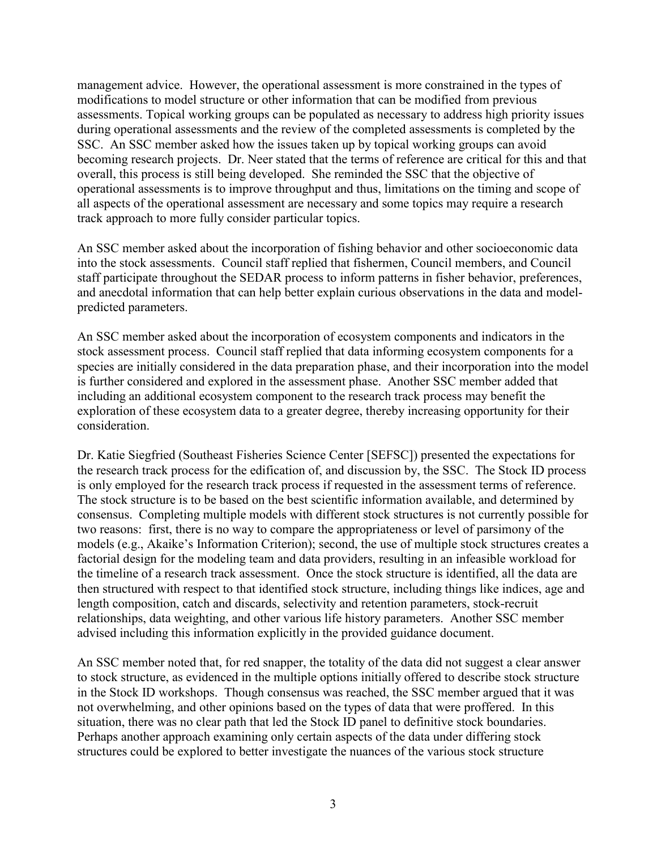management advice. However, the operational assessment is more constrained in the types of modifications to model structure or other information that can be modified from previous assessments. Topical working groups can be populated as necessary to address high priority issues during operational assessments and the review of the completed assessments is completed by the SSC. An SSC member asked how the issues taken up by topical working groups can avoid becoming research projects. Dr. Neer stated that the terms of reference are critical for this and that overall, this process is still being developed. She reminded the SSC that the objective of operational assessments is to improve throughput and thus, limitations on the timing and scope of all aspects of the operational assessment are necessary and some topics may require a research track approach to more fully consider particular topics.

An SSC member asked about the incorporation of fishing behavior and other socioeconomic data into the stock assessments. Council staff replied that fishermen, Council members, and Council staff participate throughout the SEDAR process to inform patterns in fisher behavior, preferences, and anecdotal information that can help better explain curious observations in the data and modelpredicted parameters.

An SSC member asked about the incorporation of ecosystem components and indicators in the stock assessment process. Council staff replied that data informing ecosystem components for a species are initially considered in the data preparation phase, and their incorporation into the model is further considered and explored in the assessment phase. Another SSC member added that including an additional ecosystem component to the research track process may benefit the exploration of these ecosystem data to a greater degree, thereby increasing opportunity for their consideration.

Dr. Katie Siegfried (Southeast Fisheries Science Center [SEFSC]) presented the expectations for the research track process for the edification of, and discussion by, the SSC. The Stock ID process is only employed for the research track process if requested in the assessment terms of reference. The stock structure is to be based on the best scientific information available, and determined by consensus. Completing multiple models with different stock structures is not currently possible for two reasons: first, there is no way to compare the appropriateness or level of parsimony of the models (e.g., Akaike's Information Criterion); second, the use of multiple stock structures creates a factorial design for the modeling team and data providers, resulting in an infeasible workload for the timeline of a research track assessment. Once the stock structure is identified, all the data are then structured with respect to that identified stock structure, including things like indices, age and length composition, catch and discards, selectivity and retention parameters, stock-recruit relationships, data weighting, and other various life history parameters. Another SSC member advised including this information explicitly in the provided guidance document.

An SSC member noted that, for red snapper, the totality of the data did not suggest a clear answer to stock structure, as evidenced in the multiple options initially offered to describe stock structure in the Stock ID workshops. Though consensus was reached, the SSC member argued that it was not overwhelming, and other opinions based on the types of data that were proffered. In this situation, there was no clear path that led the Stock ID panel to definitive stock boundaries. Perhaps another approach examining only certain aspects of the data under differing stock structures could be explored to better investigate the nuances of the various stock structure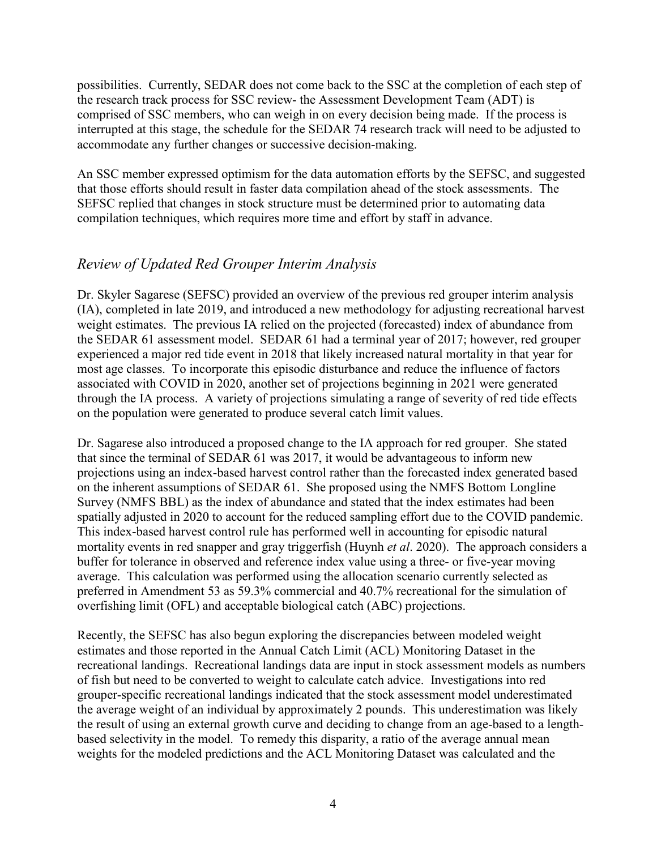possibilities. Currently, SEDAR does not come back to the SSC at the completion of each step of the research track process for SSC review- the Assessment Development Team (ADT) is comprised of SSC members, who can weigh in on every decision being made. If the process is interrupted at this stage, the schedule for the SEDAR 74 research track will need to be adjusted to accommodate any further changes or successive decision-making.

An SSC member expressed optimism for the data automation efforts by the SEFSC, and suggested that those efforts should result in faster data compilation ahead of the stock assessments. The SEFSC replied that changes in stock structure must be determined prior to automating data compilation techniques, which requires more time and effort by staff in advance.

# *Review of Updated Red Grouper Interim Analysis*

Dr. Skyler Sagarese (SEFSC) provided an overview of the previous red grouper interim analysis (IA), completed in late 2019, and introduced a new methodology for adjusting recreational harvest weight estimates. The previous IA relied on the projected (forecasted) index of abundance from the SEDAR 61 assessment model. SEDAR 61 had a terminal year of 2017; however, red grouper experienced a major red tide event in 2018 that likely increased natural mortality in that year for most age classes. To incorporate this episodic disturbance and reduce the influence of factors associated with COVID in 2020, another set of projections beginning in 2021 were generated through the IA process. A variety of projections simulating a range of severity of red tide effects on the population were generated to produce several catch limit values.

Dr. Sagarese also introduced a proposed change to the IA approach for red grouper. She stated that since the terminal of SEDAR 61 was 2017, it would be advantageous to inform new projections using an index-based harvest control rather than the forecasted index generated based on the inherent assumptions of SEDAR 61. She proposed using the NMFS Bottom Longline Survey (NMFS BBL) as the index of abundance and stated that the index estimates had been spatially adjusted in 2020 to account for the reduced sampling effort due to the COVID pandemic. This index-based harvest control rule has performed well in accounting for episodic natural mortality events in red snapper and gray triggerfish (Huynh *et al*. 2020). The approach considers a buffer for tolerance in observed and reference index value using a three- or five-year moving average. This calculation was performed using the allocation scenario currently selected as preferred in Amendment 53 as 59.3% commercial and 40.7% recreational for the simulation of overfishing limit (OFL) and acceptable biological catch (ABC) projections.

Recently, the SEFSC has also begun exploring the discrepancies between modeled weight estimates and those reported in the Annual Catch Limit (ACL) Monitoring Dataset in the recreational landings. Recreational landings data are input in stock assessment models as numbers of fish but need to be converted to weight to calculate catch advice. Investigations into red grouper-specific recreational landings indicated that the stock assessment model underestimated the average weight of an individual by approximately 2 pounds. This underestimation was likely the result of using an external growth curve and deciding to change from an age-based to a lengthbased selectivity in the model. To remedy this disparity, a ratio of the average annual mean weights for the modeled predictions and the ACL Monitoring Dataset was calculated and the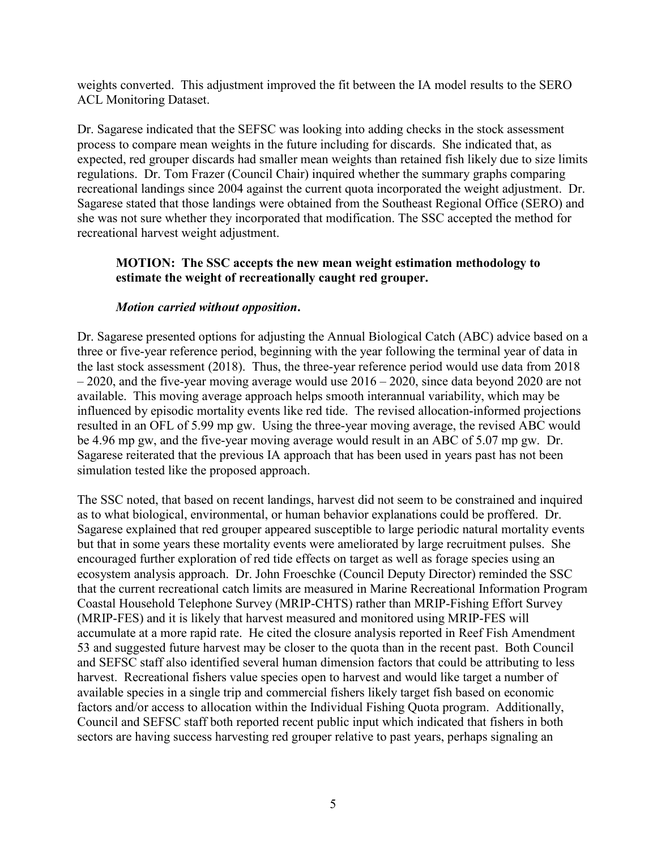weights converted. This adjustment improved the fit between the IA model results to the SERO ACL Monitoring Dataset.

Dr. Sagarese indicated that the SEFSC was looking into adding checks in the stock assessment process to compare mean weights in the future including for discards. She indicated that, as expected, red grouper discards had smaller mean weights than retained fish likely due to size limits regulations. Dr. Tom Frazer (Council Chair) inquired whether the summary graphs comparing recreational landings since 2004 against the current quota incorporated the weight adjustment. Dr. Sagarese stated that those landings were obtained from the Southeast Regional Office (SERO) and she was not sure whether they incorporated that modification. The SSC accepted the method for recreational harvest weight adjustment.

#### **MOTION: The SSC accepts the new mean weight estimation methodology to estimate the weight of recreationally caught red grouper.**

#### *Motion carried without opposition***.**

Dr. Sagarese presented options for adjusting the Annual Biological Catch (ABC) advice based on a three or five-year reference period, beginning with the year following the terminal year of data in the last stock assessment (2018). Thus, the three-year reference period would use data from 2018  $-2020$ , and the five-year moving average would use  $2016 - 2020$ , since data beyond 2020 are not available. This moving average approach helps smooth interannual variability, which may be influenced by episodic mortality events like red tide. The revised allocation-informed projections resulted in an OFL of 5.99 mp gw. Using the three-year moving average, the revised ABC would be 4.96 mp gw, and the five-year moving average would result in an ABC of 5.07 mp gw. Dr. Sagarese reiterated that the previous IA approach that has been used in years past has not been simulation tested like the proposed approach.

The SSC noted, that based on recent landings, harvest did not seem to be constrained and inquired as to what biological, environmental, or human behavior explanations could be proffered. Dr. Sagarese explained that red grouper appeared susceptible to large periodic natural mortality events but that in some years these mortality events were ameliorated by large recruitment pulses. She encouraged further exploration of red tide effects on target as well as forage species using an ecosystem analysis approach. Dr. John Froeschke (Council Deputy Director) reminded the SSC that the current recreational catch limits are measured in Marine Recreational Information Program Coastal Household Telephone Survey (MRIP-CHTS) rather than MRIP-Fishing Effort Survey (MRIP-FES) and it is likely that harvest measured and monitored using MRIP-FES will accumulate at a more rapid rate. He cited the closure analysis reported in Reef Fish Amendment 53 and suggested future harvest may be closer to the quota than in the recent past. Both Council and SEFSC staff also identified several human dimension factors that could be attributing to less harvest. Recreational fishers value species open to harvest and would like target a number of available species in a single trip and commercial fishers likely target fish based on economic factors and/or access to allocation within the Individual Fishing Quota program. Additionally, Council and SEFSC staff both reported recent public input which indicated that fishers in both sectors are having success harvesting red grouper relative to past years, perhaps signaling an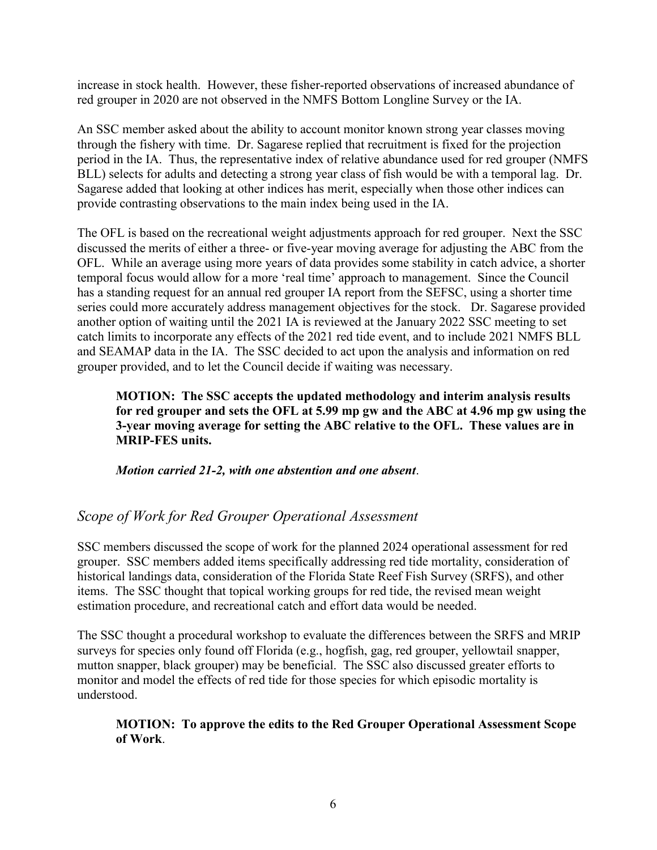increase in stock health. However, these fisher-reported observations of increased abundance of red grouper in 2020 are not observed in the NMFS Bottom Longline Survey or the IA.

An SSC member asked about the ability to account monitor known strong year classes moving through the fishery with time. Dr. Sagarese replied that recruitment is fixed for the projection period in the IA. Thus, the representative index of relative abundance used for red grouper (NMFS BLL) selects for adults and detecting a strong year class of fish would be with a temporal lag. Dr. Sagarese added that looking at other indices has merit, especially when those other indices can provide contrasting observations to the main index being used in the IA.

The OFL is based on the recreational weight adjustments approach for red grouper. Next the SSC discussed the merits of either a three- or five-year moving average for adjusting the ABC from the OFL. While an average using more years of data provides some stability in catch advice, a shorter temporal focus would allow for a more 'real time' approach to management. Since the Council has a standing request for an annual red grouper IA report from the SEFSC, using a shorter time series could more accurately address management objectives for the stock. Dr. Sagarese provided another option of waiting until the 2021 IA is reviewed at the January 2022 SSC meeting to set catch limits to incorporate any effects of the 2021 red tide event, and to include 2021 NMFS BLL and SEAMAP data in the IA. The SSC decided to act upon the analysis and information on red grouper provided, and to let the Council decide if waiting was necessary.

**MOTION: The SSC accepts the updated methodology and interim analysis results for red grouper and sets the OFL at 5.99 mp gw and the ABC at 4.96 mp gw using the 3-year moving average for setting the ABC relative to the OFL. These values are in MRIP-FES units.**

*Motion carried 21-2, with one abstention and one absent*.

## *Scope of Work for Red Grouper Operational Assessment*

SSC members discussed the scope of work for the planned 2024 operational assessment for red grouper. SSC members added items specifically addressing red tide mortality, consideration of historical landings data, consideration of the Florida State Reef Fish Survey (SRFS), and other items. The SSC thought that topical working groups for red tide, the revised mean weight estimation procedure, and recreational catch and effort data would be needed.

The SSC thought a procedural workshop to evaluate the differences between the SRFS and MRIP surveys for species only found off Florida (e.g., hogfish, gag, red grouper, yellowtail snapper, mutton snapper, black grouper) may be beneficial. The SSC also discussed greater efforts to monitor and model the effects of red tide for those species for which episodic mortality is understood.

#### **MOTION: To approve the edits to the Red Grouper Operational Assessment Scope of Work**.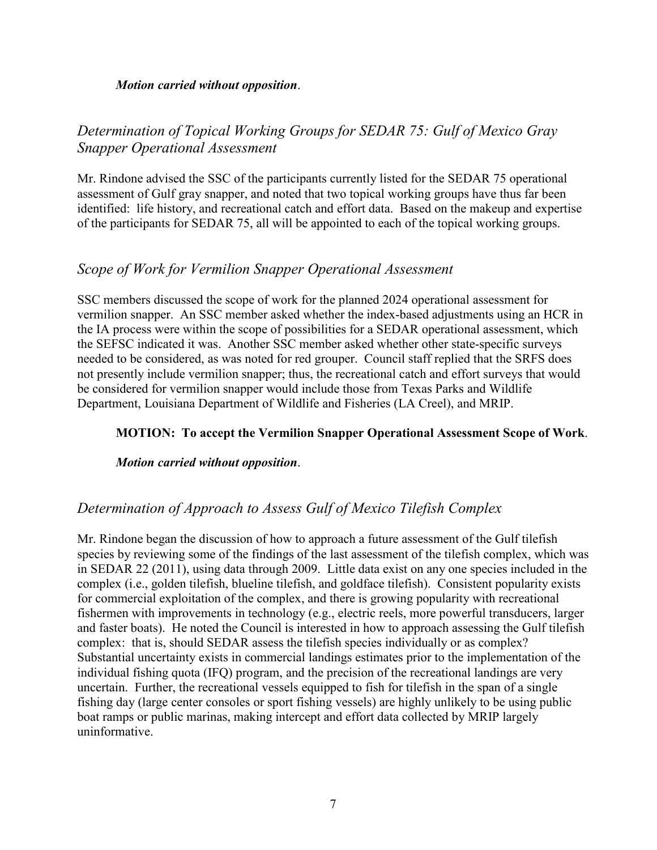#### *Motion carried without opposition*.

# *Determination of Topical Working Groups for SEDAR 75: Gulf of Mexico Gray Snapper Operational Assessment*

Mr. Rindone advised the SSC of the participants currently listed for the SEDAR 75 operational assessment of Gulf gray snapper, and noted that two topical working groups have thus far been identified: life history, and recreational catch and effort data. Based on the makeup and expertise of the participants for SEDAR 75, all will be appointed to each of the topical working groups.

### *Scope of Work for Vermilion Snapper Operational Assessment*

SSC members discussed the scope of work for the planned 2024 operational assessment for vermilion snapper. An SSC member asked whether the index-based adjustments using an HCR in the IA process were within the scope of possibilities for a SEDAR operational assessment, which the SEFSC indicated it was. Another SSC member asked whether other state-specific surveys needed to be considered, as was noted for red grouper. Council staff replied that the SRFS does not presently include vermilion snapper; thus, the recreational catch and effort surveys that would be considered for vermilion snapper would include those from Texas Parks and Wildlife Department, Louisiana Department of Wildlife and Fisheries (LA Creel), and MRIP.

#### **MOTION: To accept the Vermilion Snapper Operational Assessment Scope of Work**.

#### *Motion carried without opposition*.

## *Determination of Approach to Assess Gulf of Mexico Tilefish Complex*

Mr. Rindone began the discussion of how to approach a future assessment of the Gulf tilefish species by reviewing some of the findings of the last assessment of the tilefish complex, which was in SEDAR 22 (2011), using data through 2009. Little data exist on any one species included in the complex (i.e., golden tilefish, blueline tilefish, and goldface tilefish). Consistent popularity exists for commercial exploitation of the complex, and there is growing popularity with recreational fishermen with improvements in technology (e.g., electric reels, more powerful transducers, larger and faster boats). He noted the Council is interested in how to approach assessing the Gulf tilefish complex: that is, should SEDAR assess the tilefish species individually or as complex? Substantial uncertainty exists in commercial landings estimates prior to the implementation of the individual fishing quota (IFQ) program, and the precision of the recreational landings are very uncertain. Further, the recreational vessels equipped to fish for tilefish in the span of a single fishing day (large center consoles or sport fishing vessels) are highly unlikely to be using public boat ramps or public marinas, making intercept and effort data collected by MRIP largely uninformative.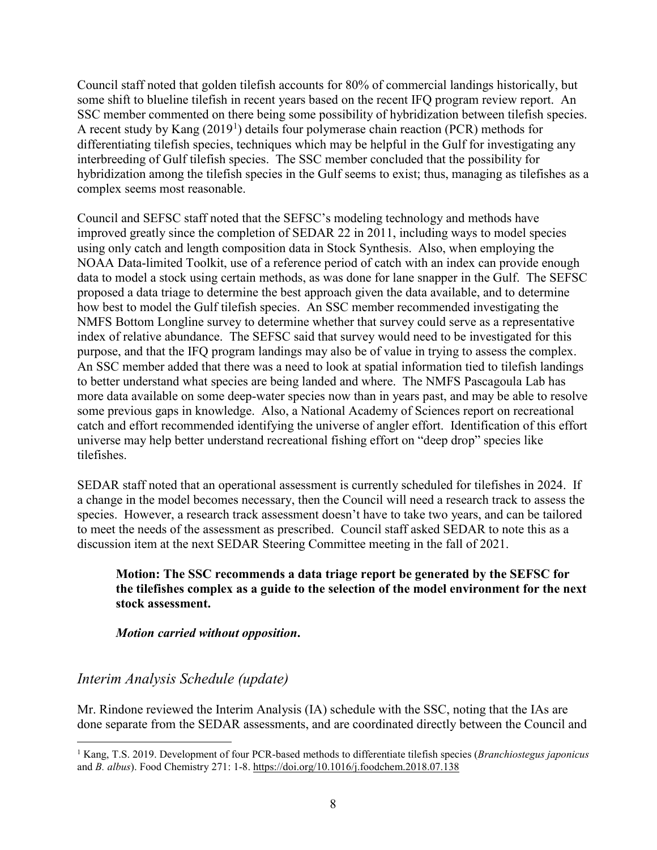Council staff noted that golden tilefish accounts for 80% of commercial landings historically, but some shift to blueline tilefish in recent years based on the recent IFQ program review report. An SSC member commented on there being some possibility of hybridization between tilefish species. A recent study by Kang  $(2019<sup>1</sup>)$  $(2019<sup>1</sup>)$  $(2019<sup>1</sup>)$  details four polymerase chain reaction (PCR) methods for differentiating tilefish species, techniques which may be helpful in the Gulf for investigating any interbreeding of Gulf tilefish species. The SSC member concluded that the possibility for hybridization among the tilefish species in the Gulf seems to exist; thus, managing as tilefishes as a complex seems most reasonable.

Council and SEFSC staff noted that the SEFSC's modeling technology and methods have improved greatly since the completion of SEDAR 22 in 2011, including ways to model species using only catch and length composition data in Stock Synthesis. Also, when employing the NOAA Data-limited Toolkit, use of a reference period of catch with an index can provide enough data to model a stock using certain methods, as was done for lane snapper in the Gulf. The SEFSC proposed a data triage to determine the best approach given the data available, and to determine how best to model the Gulf tilefish species. An SSC member recommended investigating the NMFS Bottom Longline survey to determine whether that survey could serve as a representative index of relative abundance. The SEFSC said that survey would need to be investigated for this purpose, and that the IFQ program landings may also be of value in trying to assess the complex. An SSC member added that there was a need to look at spatial information tied to tilefish landings to better understand what species are being landed and where. The NMFS Pascagoula Lab has more data available on some deep-water species now than in years past, and may be able to resolve some previous gaps in knowledge. Also, a National Academy of Sciences report on recreational catch and effort recommended identifying the universe of angler effort. Identification of this effort universe may help better understand recreational fishing effort on "deep drop" species like tilefishes.

SEDAR staff noted that an operational assessment is currently scheduled for tilefishes in 2024. If a change in the model becomes necessary, then the Council will need a research track to assess the species. However, a research track assessment doesn't have to take two years, and can be tailored to meet the needs of the assessment as prescribed. Council staff asked SEDAR to note this as a discussion item at the next SEDAR Steering Committee meeting in the fall of 2021.

#### **Motion: The SSC recommends a data triage report be generated by the SEFSC for the tilefishes complex as a guide to the selection of the model environment for the next stock assessment.**

#### *Motion carried without opposition***.**

## *Interim Analysis Schedule (update)*

Mr. Rindone reviewed the Interim Analysis (IA) schedule with the SSC, noting that the IAs are done separate from the SEDAR assessments, and are coordinated directly between the Council and

<span id="page-7-0"></span> <sup>1</sup> Kang, T.S. 2019. Development of four PCR-based methods to differentiate tilefish species (*Branchiostegus japonicus* and *B. albus*). Food Chemistry 271: 1-8. <https://doi.org/10.1016/j.foodchem.2018.07.138>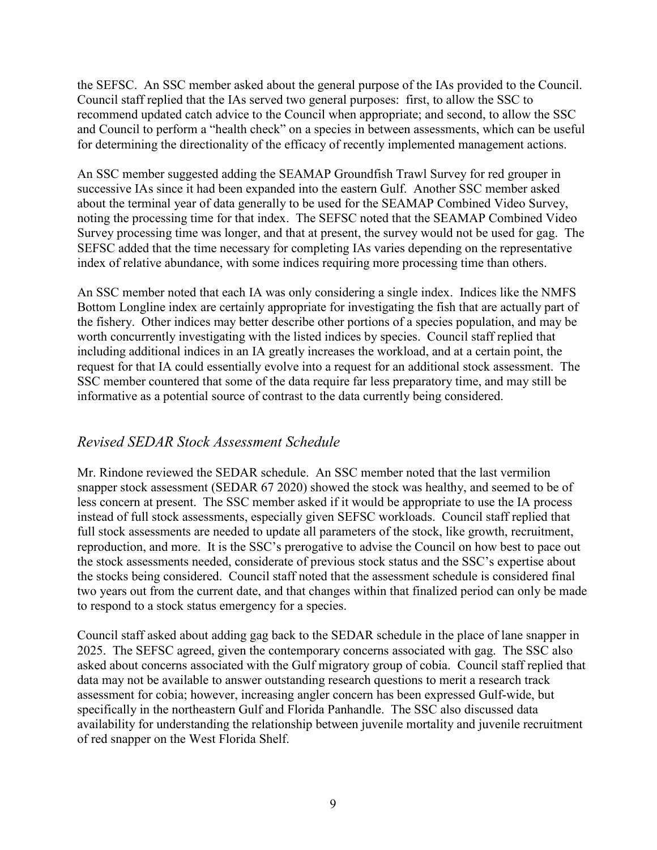the SEFSC. An SSC member asked about the general purpose of the IAs provided to the Council. Council staff replied that the IAs served two general purposes: first, to allow the SSC to recommend updated catch advice to the Council when appropriate; and second, to allow the SSC and Council to perform a "health check" on a species in between assessments, which can be useful for determining the directionality of the efficacy of recently implemented management actions.

An SSC member suggested adding the SEAMAP Groundfish Trawl Survey for red grouper in successive IAs since it had been expanded into the eastern Gulf. Another SSC member asked about the terminal year of data generally to be used for the SEAMAP Combined Video Survey, noting the processing time for that index. The SEFSC noted that the SEAMAP Combined Video Survey processing time was longer, and that at present, the survey would not be used for gag. The SEFSC added that the time necessary for completing IAs varies depending on the representative index of relative abundance, with some indices requiring more processing time than others.

An SSC member noted that each IA was only considering a single index. Indices like the NMFS Bottom Longline index are certainly appropriate for investigating the fish that are actually part of the fishery. Other indices may better describe other portions of a species population, and may be worth concurrently investigating with the listed indices by species. Council staff replied that including additional indices in an IA greatly increases the workload, and at a certain point, the request for that IA could essentially evolve into a request for an additional stock assessment. The SSC member countered that some of the data require far less preparatory time, and may still be informative as a potential source of contrast to the data currently being considered.

### *Revised SEDAR Stock Assessment Schedule*

Mr. Rindone reviewed the SEDAR schedule. An SSC member noted that the last vermilion snapper stock assessment (SEDAR 67 2020) showed the stock was healthy, and seemed to be of less concern at present. The SSC member asked if it would be appropriate to use the IA process instead of full stock assessments, especially given SEFSC workloads. Council staff replied that full stock assessments are needed to update all parameters of the stock, like growth, recruitment, reproduction, and more. It is the SSC's prerogative to advise the Council on how best to pace out the stock assessments needed, considerate of previous stock status and the SSC's expertise about the stocks being considered. Council staff noted that the assessment schedule is considered final two years out from the current date, and that changes within that finalized period can only be made to respond to a stock status emergency for a species.

Council staff asked about adding gag back to the SEDAR schedule in the place of lane snapper in 2025. The SEFSC agreed, given the contemporary concerns associated with gag. The SSC also asked about concerns associated with the Gulf migratory group of cobia. Council staff replied that data may not be available to answer outstanding research questions to merit a research track assessment for cobia; however, increasing angler concern has been expressed Gulf-wide, but specifically in the northeastern Gulf and Florida Panhandle. The SSC also discussed data availability for understanding the relationship between juvenile mortality and juvenile recruitment of red snapper on the West Florida Shelf.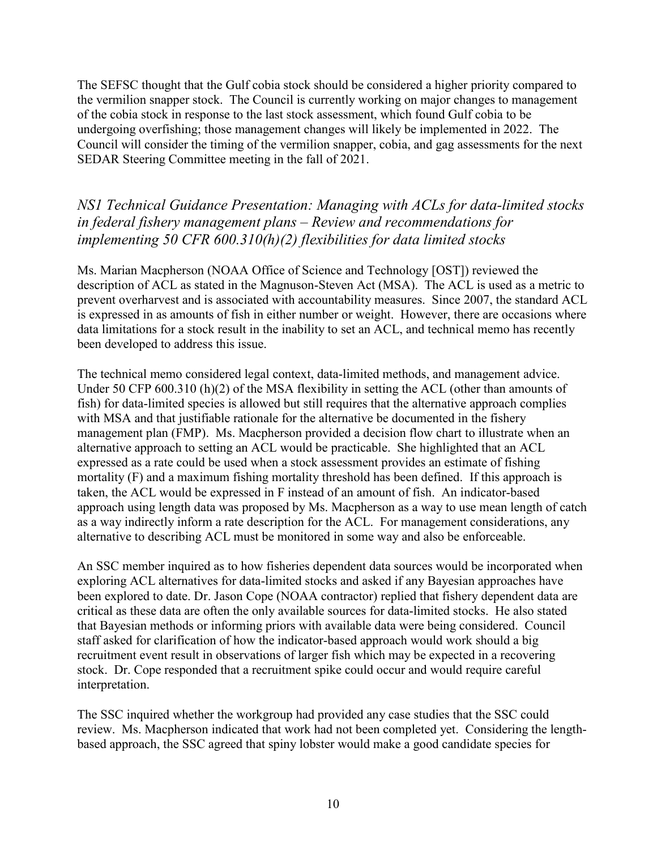The SEFSC thought that the Gulf cobia stock should be considered a higher priority compared to the vermilion snapper stock. The Council is currently working on major changes to management of the cobia stock in response to the last stock assessment, which found Gulf cobia to be undergoing overfishing; those management changes will likely be implemented in 2022. The Council will consider the timing of the vermilion snapper, cobia, and gag assessments for the next SEDAR Steering Committee meeting in the fall of 2021.

# *NS1 Technical Guidance Presentation: Managing with ACLs for data-limited stocks in federal fishery management plans – Review and recommendations for implementing 50 CFR 600.310(h)(2) flexibilities for data limited stocks*

Ms. Marian Macpherson (NOAA Office of Science and Technology [OST]) reviewed the description of ACL as stated in the Magnuson-Steven Act (MSA). The ACL is used as a metric to prevent overharvest and is associated with accountability measures. Since 2007, the standard ACL is expressed in as amounts of fish in either number or weight. However, there are occasions where data limitations for a stock result in the inability to set an ACL, and technical memo has recently been developed to address this issue.

The technical memo considered legal context, data-limited methods, and management advice. Under 50 CFP 600.310 (h)(2) of the MSA flexibility in setting the ACL (other than amounts of fish) for data-limited species is allowed but still requires that the alternative approach complies with MSA and that justifiable rationale for the alternative be documented in the fishery management plan (FMP). Ms. Macpherson provided a decision flow chart to illustrate when an alternative approach to setting an ACL would be practicable. She highlighted that an ACL expressed as a rate could be used when a stock assessment provides an estimate of fishing mortality (F) and a maximum fishing mortality threshold has been defined. If this approach is taken, the ACL would be expressed in F instead of an amount of fish. An indicator-based approach using length data was proposed by Ms. Macpherson as a way to use mean length of catch as a way indirectly inform a rate description for the ACL. For management considerations, any alternative to describing ACL must be monitored in some way and also be enforceable.

An SSC member inquired as to how fisheries dependent data sources would be incorporated when exploring ACL alternatives for data-limited stocks and asked if any Bayesian approaches have been explored to date. Dr. Jason Cope (NOAA contractor) replied that fishery dependent data are critical as these data are often the only available sources for data-limited stocks. He also stated that Bayesian methods or informing priors with available data were being considered. Council staff asked for clarification of how the indicator-based approach would work should a big recruitment event result in observations of larger fish which may be expected in a recovering stock. Dr. Cope responded that a recruitment spike could occur and would require careful interpretation.

The SSC inquired whether the workgroup had provided any case studies that the SSC could review. Ms. Macpherson indicated that work had not been completed yet. Considering the lengthbased approach, the SSC agreed that spiny lobster would make a good candidate species for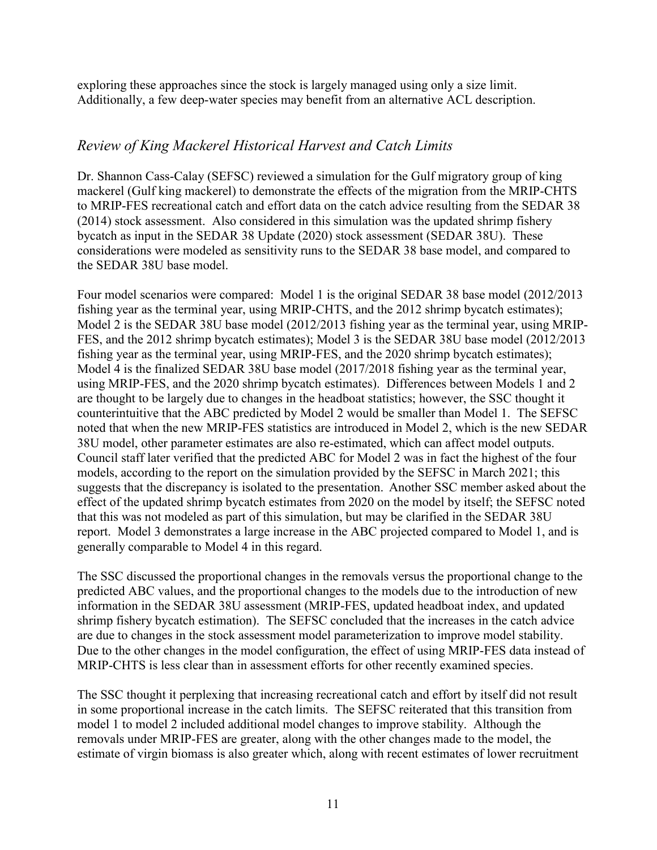exploring these approaches since the stock is largely managed using only a size limit. Additionally, a few deep-water species may benefit from an alternative ACL description.

### *Review of King Mackerel Historical Harvest and Catch Limits*

Dr. Shannon Cass-Calay (SEFSC) reviewed a simulation for the Gulf migratory group of king mackerel (Gulf king mackerel) to demonstrate the effects of the migration from the MRIP-CHTS to MRIP-FES recreational catch and effort data on the catch advice resulting from the SEDAR 38 (2014) stock assessment. Also considered in this simulation was the updated shrimp fishery bycatch as input in the SEDAR 38 Update (2020) stock assessment (SEDAR 38U). These considerations were modeled as sensitivity runs to the SEDAR 38 base model, and compared to the SEDAR 38U base model.

Four model scenarios were compared: Model 1 is the original SEDAR 38 base model (2012/2013 fishing year as the terminal year, using MRIP-CHTS, and the 2012 shrimp bycatch estimates); Model 2 is the SEDAR 38U base model (2012/2013 fishing year as the terminal year, using MRIP-FES, and the 2012 shrimp bycatch estimates); Model 3 is the SEDAR 38U base model (2012/2013 fishing year as the terminal year, using MRIP-FES, and the 2020 shrimp bycatch estimates); Model 4 is the finalized SEDAR 38U base model (2017/2018 fishing year as the terminal year, using MRIP-FES, and the 2020 shrimp bycatch estimates). Differences between Models 1 and 2 are thought to be largely due to changes in the headboat statistics; however, the SSC thought it counterintuitive that the ABC predicted by Model 2 would be smaller than Model 1. The SEFSC noted that when the new MRIP-FES statistics are introduced in Model 2, which is the new SEDAR 38U model, other parameter estimates are also re-estimated, which can affect model outputs. Council staff later verified that the predicted ABC for Model 2 was in fact the highest of the four models, according to the report on the simulation provided by the SEFSC in March 2021; this suggests that the discrepancy is isolated to the presentation. Another SSC member asked about the effect of the updated shrimp bycatch estimates from 2020 on the model by itself; the SEFSC noted that this was not modeled as part of this simulation, but may be clarified in the SEDAR 38U report. Model 3 demonstrates a large increase in the ABC projected compared to Model 1, and is generally comparable to Model 4 in this regard.

The SSC discussed the proportional changes in the removals versus the proportional change to the predicted ABC values, and the proportional changes to the models due to the introduction of new information in the SEDAR 38U assessment (MRIP-FES, updated headboat index, and updated shrimp fishery bycatch estimation). The SEFSC concluded that the increases in the catch advice are due to changes in the stock assessment model parameterization to improve model stability. Due to the other changes in the model configuration, the effect of using MRIP-FES data instead of MRIP-CHTS is less clear than in assessment efforts for other recently examined species.

The SSC thought it perplexing that increasing recreational catch and effort by itself did not result in some proportional increase in the catch limits. The SEFSC reiterated that this transition from model 1 to model 2 included additional model changes to improve stability. Although the removals under MRIP-FES are greater, along with the other changes made to the model, the estimate of virgin biomass is also greater which, along with recent estimates of lower recruitment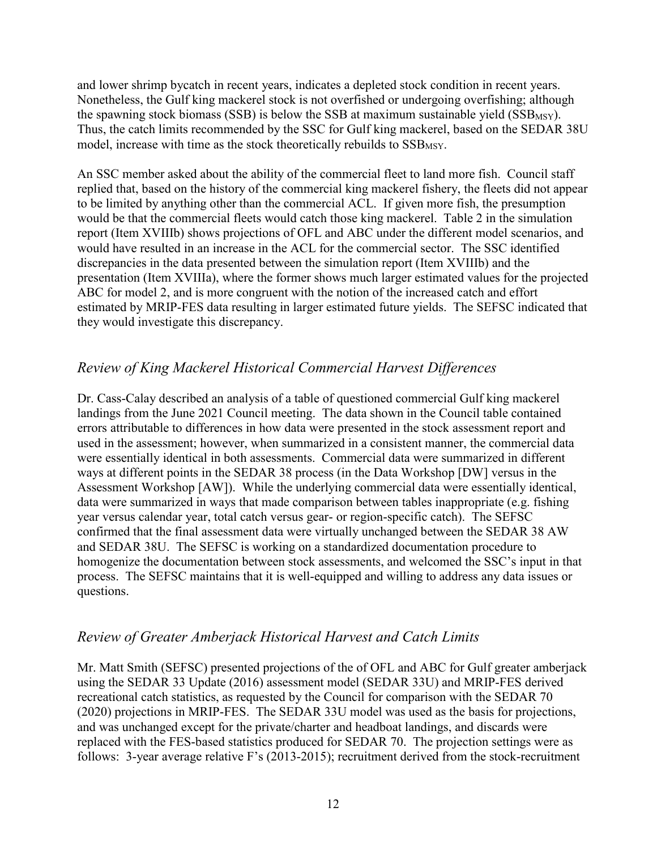and lower shrimp bycatch in recent years, indicates a depleted stock condition in recent years. Nonetheless, the Gulf king mackerel stock is not overfished or undergoing overfishing; although the spawning stock biomass (SSB) is below the SSB at maximum sustainable yield  $(SSB_{MSY})$ . Thus, the catch limits recommended by the SSC for Gulf king mackerel, based on the SEDAR 38U model, increase with time as the stock theoretically rebuilds to  $SSB$ <sub>MSY</sub>.

An SSC member asked about the ability of the commercial fleet to land more fish. Council staff replied that, based on the history of the commercial king mackerel fishery, the fleets did not appear to be limited by anything other than the commercial ACL. If given more fish, the presumption would be that the commercial fleets would catch those king mackerel. Table 2 in the simulation report (Item XVIIIb) shows projections of OFL and ABC under the different model scenarios, and would have resulted in an increase in the ACL for the commercial sector. The SSC identified discrepancies in the data presented between the simulation report (Item XVIIIb) and the presentation (Item XVIIIa), where the former shows much larger estimated values for the projected ABC for model 2, and is more congruent with the notion of the increased catch and effort estimated by MRIP-FES data resulting in larger estimated future yields. The SEFSC indicated that they would investigate this discrepancy.

# *Review of King Mackerel Historical Commercial Harvest Differences*

Dr. Cass-Calay described an analysis of a table of questioned commercial Gulf king mackerel landings from the June 2021 Council meeting. The data shown in the Council table contained errors attributable to differences in how data were presented in the stock assessment report and used in the assessment; however, when summarized in a consistent manner, the commercial data were essentially identical in both assessments. Commercial data were summarized in different ways at different points in the SEDAR 38 process (in the Data Workshop [DW] versus in the Assessment Workshop [AW]). While the underlying commercial data were essentially identical, data were summarized in ways that made comparison between tables inappropriate (e.g. fishing year versus calendar year, total catch versus gear- or region-specific catch). The SEFSC confirmed that the final assessment data were virtually unchanged between the SEDAR 38 AW and SEDAR 38U. The SEFSC is working on a standardized documentation procedure to homogenize the documentation between stock assessments, and welcomed the SSC's input in that process. The SEFSC maintains that it is well-equipped and willing to address any data issues or questions.

### *Review of Greater Amberjack Historical Harvest and Catch Limits*

Mr. Matt Smith (SEFSC) presented projections of the of OFL and ABC for Gulf greater amberjack using the SEDAR 33 Update (2016) assessment model (SEDAR 33U) and MRIP-FES derived recreational catch statistics, as requested by the Council for comparison with the SEDAR 70 (2020) projections in MRIP-FES. The SEDAR 33U model was used as the basis for projections, and was unchanged except for the private/charter and headboat landings, and discards were replaced with the FES-based statistics produced for SEDAR 70. The projection settings were as follows: 3-year average relative F's (2013-2015); recruitment derived from the stock-recruitment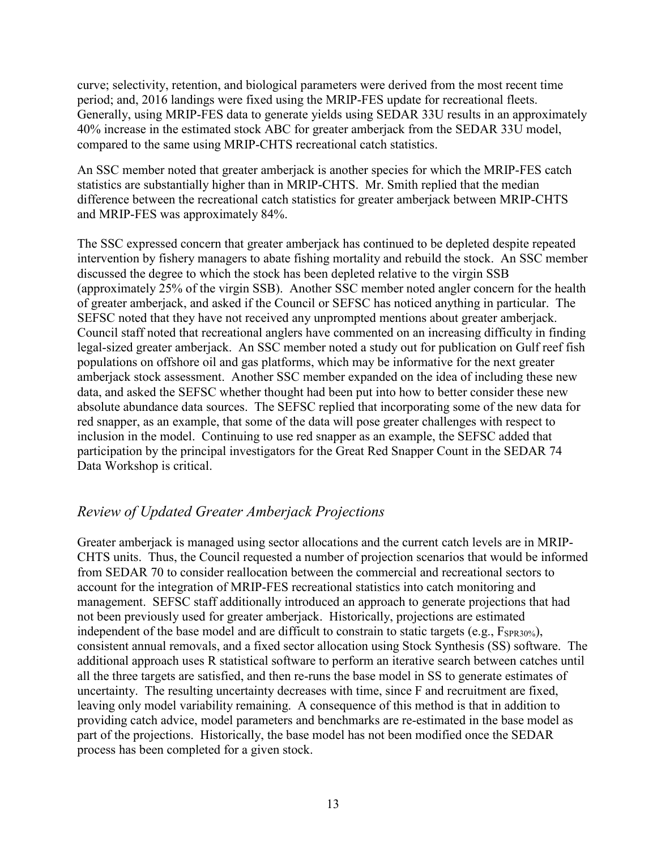curve; selectivity, retention, and biological parameters were derived from the most recent time period; and, 2016 landings were fixed using the MRIP-FES update for recreational fleets. Generally, using MRIP-FES data to generate yields using SEDAR 33U results in an approximately 40% increase in the estimated stock ABC for greater amberjack from the SEDAR 33U model, compared to the same using MRIP-CHTS recreational catch statistics.

An SSC member noted that greater amberjack is another species for which the MRIP-FES catch statistics are substantially higher than in MRIP-CHTS. Mr. Smith replied that the median difference between the recreational catch statistics for greater amberjack between MRIP-CHTS and MRIP-FES was approximately 84%.

The SSC expressed concern that greater amberjack has continued to be depleted despite repeated intervention by fishery managers to abate fishing mortality and rebuild the stock. An SSC member discussed the degree to which the stock has been depleted relative to the virgin SSB (approximately 25% of the virgin SSB). Another SSC member noted angler concern for the health of greater amberjack, and asked if the Council or SEFSC has noticed anything in particular. The SEFSC noted that they have not received any unprompted mentions about greater amberjack. Council staff noted that recreational anglers have commented on an increasing difficulty in finding legal-sized greater amberjack. An SSC member noted a study out for publication on Gulf reef fish populations on offshore oil and gas platforms, which may be informative for the next greater amberjack stock assessment. Another SSC member expanded on the idea of including these new data, and asked the SEFSC whether thought had been put into how to better consider these new absolute abundance data sources. The SEFSC replied that incorporating some of the new data for red snapper, as an example, that some of the data will pose greater challenges with respect to inclusion in the model. Continuing to use red snapper as an example, the SEFSC added that participation by the principal investigators for the Great Red Snapper Count in the SEDAR 74 Data Workshop is critical.

## *Review of Updated Greater Amberjack Projections*

Greater amberjack is managed using sector allocations and the current catch levels are in MRIP-CHTS units. Thus, the Council requested a number of projection scenarios that would be informed from SEDAR 70 to consider reallocation between the commercial and recreational sectors to account for the integration of MRIP-FES recreational statistics into catch monitoring and management. SEFSC staff additionally introduced an approach to generate projections that had not been previously used for greater amberjack. Historically, projections are estimated independent of the base model and are difficult to constrain to static targets (e.g.,  $F_{SPR30\%}$ ), consistent annual removals, and a fixed sector allocation using Stock Synthesis (SS) software. The additional approach uses R statistical software to perform an iterative search between catches until all the three targets are satisfied, and then re-runs the base model in SS to generate estimates of uncertainty. The resulting uncertainty decreases with time, since F and recruitment are fixed, leaving only model variability remaining. A consequence of this method is that in addition to providing catch advice, model parameters and benchmarks are re-estimated in the base model as part of the projections. Historically, the base model has not been modified once the SEDAR process has been completed for a given stock.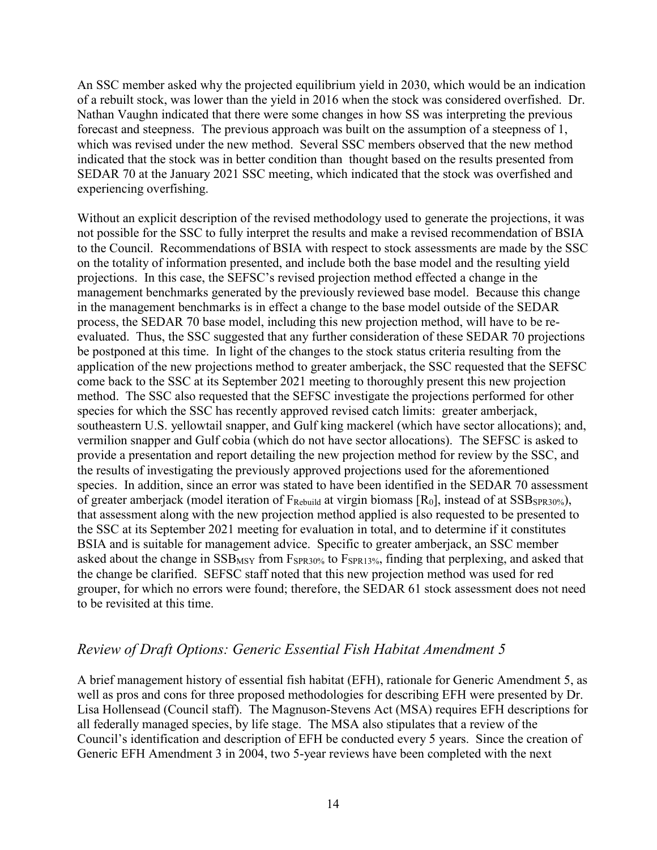An SSC member asked why the projected equilibrium yield in 2030, which would be an indication of a rebuilt stock, was lower than the yield in 2016 when the stock was considered overfished. Dr. Nathan Vaughn indicated that there were some changes in how SS was interpreting the previous forecast and steepness. The previous approach was built on the assumption of a steepness of 1, which was revised under the new method. Several SSC members observed that the new method indicated that the stock was in better condition than thought based on the results presented from SEDAR 70 at the January 2021 SSC meeting, which indicated that the stock was overfished and experiencing overfishing.

Without an explicit description of the revised methodology used to generate the projections, it was not possible for the SSC to fully interpret the results and make a revised recommendation of BSIA to the Council. Recommendations of BSIA with respect to stock assessments are made by the SSC on the totality of information presented, and include both the base model and the resulting yield projections. In this case, the SEFSC's revised projection method effected a change in the management benchmarks generated by the previously reviewed base model. Because this change in the management benchmarks is in effect a change to the base model outside of the SEDAR process, the SEDAR 70 base model, including this new projection method, will have to be reevaluated. Thus, the SSC suggested that any further consideration of these SEDAR 70 projections be postponed at this time. In light of the changes to the stock status criteria resulting from the application of the new projections method to greater amberjack, the SSC requested that the SEFSC come back to the SSC at its September 2021 meeting to thoroughly present this new projection method. The SSC also requested that the SEFSC investigate the projections performed for other species for which the SSC has recently approved revised catch limits: greater amberjack, southeastern U.S. yellowtail snapper, and Gulf king mackerel (which have sector allocations); and, vermilion snapper and Gulf cobia (which do not have sector allocations). The SEFSC is asked to provide a presentation and report detailing the new projection method for review by the SSC, and the results of investigating the previously approved projections used for the aforementioned species. In addition, since an error was stated to have been identified in the SEDAR 70 assessment of greater amberjack (model iteration of  $F_{\text{Rebuild}}$  at virgin biomass  $[R_0]$ , instead of at  $SSB_{\text{SPR30\%}}$ ), that assessment along with the new projection method applied is also requested to be presented to the SSC at its September 2021 meeting for evaluation in total, and to determine if it constitutes BSIA and is suitable for management advice. Specific to greater amberjack, an SSC member asked about the change in  $SSB_{MSY}$  from  $F_{SPR30\%}$  to  $F_{SPR13\%}$ , finding that perplexing, and asked that the change be clarified. SEFSC staff noted that this new projection method was used for red grouper, for which no errors were found; therefore, the SEDAR 61 stock assessment does not need to be revisited at this time.

### *Review of Draft Options: Generic Essential Fish Habitat Amendment 5*

A brief management history of essential fish habitat (EFH), rationale for Generic Amendment 5, as well as pros and cons for three proposed methodologies for describing EFH were presented by Dr. Lisa Hollensead (Council staff). The Magnuson-Stevens Act (MSA) requires EFH descriptions for all federally managed species, by life stage. The MSA also stipulates that a review of the Council's identification and description of EFH be conducted every 5 years. Since the creation of Generic EFH Amendment 3 in 2004, two 5-year reviews have been completed with the next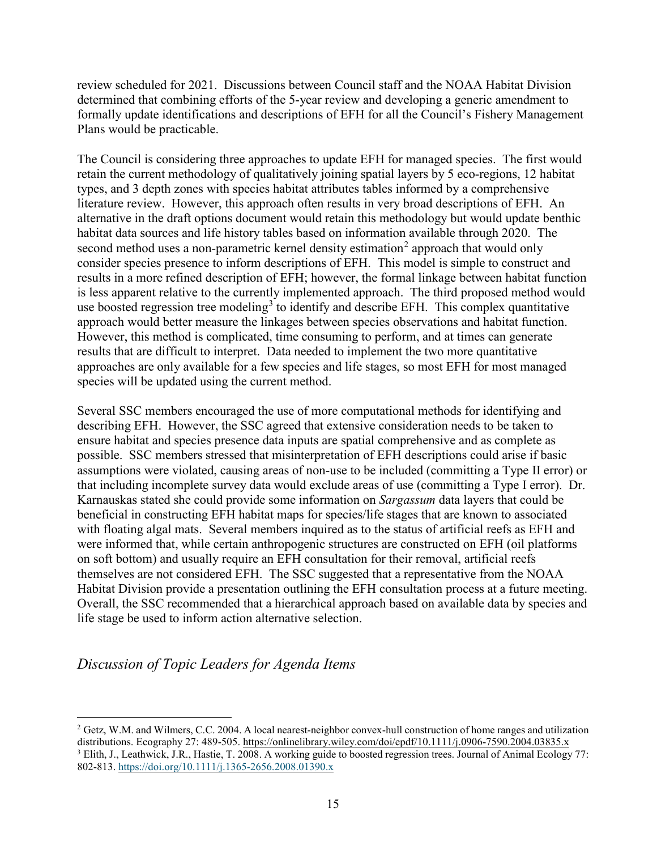review scheduled for 2021. Discussions between Council staff and the NOAA Habitat Division determined that combining efforts of the 5-year review and developing a generic amendment to formally update identifications and descriptions of EFH for all the Council's Fishery Management Plans would be practicable.

The Council is considering three approaches to update EFH for managed species. The first would retain the current methodology of qualitatively joining spatial layers by 5 eco-regions, 12 habitat types, and 3 depth zones with species habitat attributes tables informed by a comprehensive literature review. However, this approach often results in very broad descriptions of EFH. An alternative in the draft options document would retain this methodology but would update benthic habitat data sources and life history tables based on information available through 2020. The second method uses a non-parametric kernel density estimation<sup>[2](#page-14-0)</sup> approach that would only consider species presence to inform descriptions of EFH. This model is simple to construct and results in a more refined description of EFH; however, the formal linkage between habitat function is less apparent relative to the currently implemented approach. The third proposed method would use boosted regression tree modeling<sup>[3](#page-14-1)</sup> to identify and describe EFH. This complex quantitative approach would better measure the linkages between species observations and habitat function. However, this method is complicated, time consuming to perform, and at times can generate results that are difficult to interpret. Data needed to implement the two more quantitative approaches are only available for a few species and life stages, so most EFH for most managed species will be updated using the current method.

Several SSC members encouraged the use of more computational methods for identifying and describing EFH. However, the SSC agreed that extensive consideration needs to be taken to ensure habitat and species presence data inputs are spatial comprehensive and as complete as possible. SSC members stressed that misinterpretation of EFH descriptions could arise if basic assumptions were violated, causing areas of non-use to be included (committing a Type II error) or that including incomplete survey data would exclude areas of use (committing a Type I error). Dr. Karnauskas stated she could provide some information on *Sargassum* data layers that could be beneficial in constructing EFH habitat maps for species/life stages that are known to associated with floating algal mats. Several members inquired as to the status of artificial reefs as EFH and were informed that, while certain anthropogenic structures are constructed on EFH (oil platforms on soft bottom) and usually require an EFH consultation for their removal, artificial reefs themselves are not considered EFH. The SSC suggested that a representative from the NOAA Habitat Division provide a presentation outlining the EFH consultation process at a future meeting. Overall, the SSC recommended that a hierarchical approach based on available data by species and life stage be used to inform action alternative selection.

## *Discussion of Topic Leaders for Agenda Items*

<span id="page-14-1"></span><span id="page-14-0"></span><sup>&</sup>lt;sup>2</sup> Getz, W.M. and Wilmers, C.C. 2004. A local nearest-neighbor convex-hull construction of home ranges and utilization distributions. Ecography 27: 489-505. <https://onlinelibrary.wiley.com/doi/epdf/10.1111/j.0906-7590.2004.03835.x> <sup>3</sup> Elith, J., Leathwick, J.R., Hastie, T. 2008. A working guide to boosted regression trees. Journal of Animal Ecology 77: 802-813. <https://doi.org/10.1111/j.1365-2656.2008.01390.x>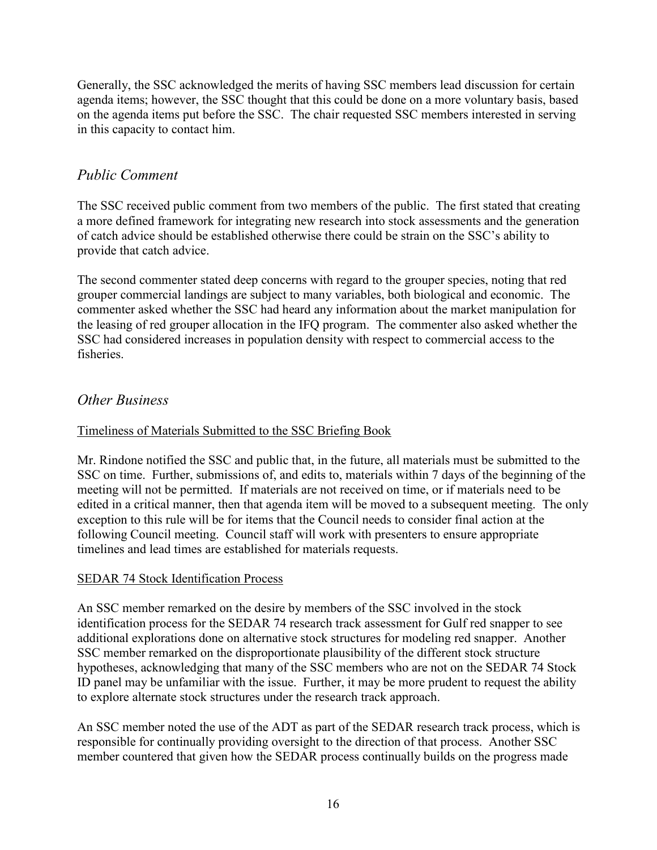Generally, the SSC acknowledged the merits of having SSC members lead discussion for certain agenda items; however, the SSC thought that this could be done on a more voluntary basis, based on the agenda items put before the SSC. The chair requested SSC members interested in serving in this capacity to contact him.

# *Public Comment*

The SSC received public comment from two members of the public. The first stated that creating a more defined framework for integrating new research into stock assessments and the generation of catch advice should be established otherwise there could be strain on the SSC's ability to provide that catch advice.

The second commenter stated deep concerns with regard to the grouper species, noting that red grouper commercial landings are subject to many variables, both biological and economic. The commenter asked whether the SSC had heard any information about the market manipulation for the leasing of red grouper allocation in the IFQ program. The commenter also asked whether the SSC had considered increases in population density with respect to commercial access to the fisheries.

### *Other Business*

### Timeliness of Materials Submitted to the SSC Briefing Book

Mr. Rindone notified the SSC and public that, in the future, all materials must be submitted to the SSC on time. Further, submissions of, and edits to, materials within 7 days of the beginning of the meeting will not be permitted. If materials are not received on time, or if materials need to be edited in a critical manner, then that agenda item will be moved to a subsequent meeting. The only exception to this rule will be for items that the Council needs to consider final action at the following Council meeting. Council staff will work with presenters to ensure appropriate timelines and lead times are established for materials requests.

#### SEDAR 74 Stock Identification Process

An SSC member remarked on the desire by members of the SSC involved in the stock identification process for the SEDAR 74 research track assessment for Gulf red snapper to see additional explorations done on alternative stock structures for modeling red snapper. Another SSC member remarked on the disproportionate plausibility of the different stock structure hypotheses, acknowledging that many of the SSC members who are not on the SEDAR 74 Stock ID panel may be unfamiliar with the issue. Further, it may be more prudent to request the ability to explore alternate stock structures under the research track approach.

An SSC member noted the use of the ADT as part of the SEDAR research track process, which is responsible for continually providing oversight to the direction of that process. Another SSC member countered that given how the SEDAR process continually builds on the progress made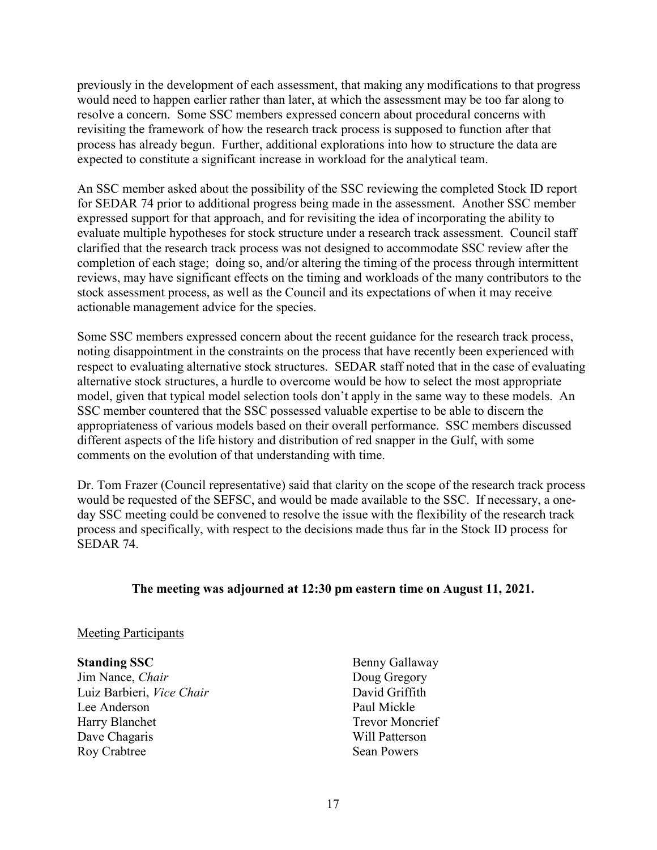previously in the development of each assessment, that making any modifications to that progress would need to happen earlier rather than later, at which the assessment may be too far along to resolve a concern. Some SSC members expressed concern about procedural concerns with revisiting the framework of how the research track process is supposed to function after that process has already begun. Further, additional explorations into how to structure the data are expected to constitute a significant increase in workload for the analytical team.

An SSC member asked about the possibility of the SSC reviewing the completed Stock ID report for SEDAR 74 prior to additional progress being made in the assessment. Another SSC member expressed support for that approach, and for revisiting the idea of incorporating the ability to evaluate multiple hypotheses for stock structure under a research track assessment. Council staff clarified that the research track process was not designed to accommodate SSC review after the completion of each stage; doing so, and/or altering the timing of the process through intermittent reviews, may have significant effects on the timing and workloads of the many contributors to the stock assessment process, as well as the Council and its expectations of when it may receive actionable management advice for the species.

Some SSC members expressed concern about the recent guidance for the research track process, noting disappointment in the constraints on the process that have recently been experienced with respect to evaluating alternative stock structures. SEDAR staff noted that in the case of evaluating alternative stock structures, a hurdle to overcome would be how to select the most appropriate model, given that typical model selection tools don't apply in the same way to these models. An SSC member countered that the SSC possessed valuable expertise to be able to discern the appropriateness of various models based on their overall performance. SSC members discussed different aspects of the life history and distribution of red snapper in the Gulf, with some comments on the evolution of that understanding with time.

Dr. Tom Frazer (Council representative) said that clarity on the scope of the research track process would be requested of the SEFSC, and would be made available to the SSC. If necessary, a oneday SSC meeting could be convened to resolve the issue with the flexibility of the research track process and specifically, with respect to the decisions made thus far in the Stock ID process for SEDAR 74.

#### **The meeting was adjourned at 12:30 pm eastern time on August 11, 2021.**

#### Meeting Participants

#### **Standing SSC**

Jim Nance, *Chair* Luiz Barbieri, *Vice Chair* Lee Anderson Harry Blanchet Dave Chagaris Roy Crabtree

Benny Gallaway Doug Gregory David Griffith Paul Mickle Trevor Moncrief Will Patterson Sean Powers